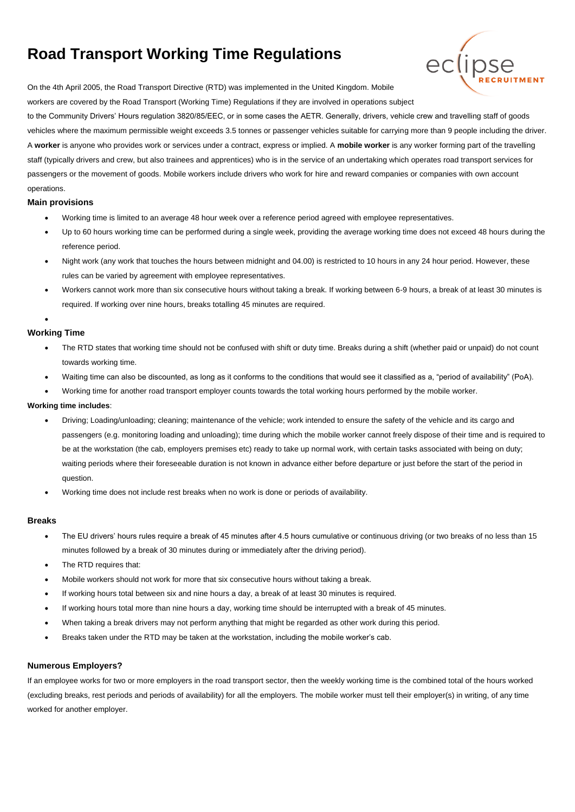# **Road Transport Working Time Regulations**



On the 4th April 2005, the Road Transport Directive (RTD) was implemented in the United Kingdom. Mobile

workers are covered by the Road Transport (Working Time) Regulations if they are involved in operations subject

to the Community Drivers' Hours regulation 3820/85/EEC, or in some cases the AETR. Generally, drivers, vehicle crew and travelling staff of goods vehicles where the maximum permissible weight exceeds 3.5 tonnes or passenger vehicles suitable for carrying more than 9 people including the driver. A **worker** is anyone who provides work or services under a contract, express or implied. A **mobile worker** is any worker forming part of the travelling staff (typically drivers and crew, but also trainees and apprentices) who is in the service of an undertaking which operates road transport services for passengers or the movement of goods. Mobile workers include drivers who work for hire and reward companies or companies with own account operations.

## **Main provisions**

- Working time is limited to an average 48 hour week over a reference period agreed with employee representatives.
- Up to 60 hours working time can be performed during a single week, providing the average working time does not exceed 48 hours during the reference period.
- Night work (any work that touches the hours between midnight and 04.00) is restricted to 10 hours in any 24 hour period. However, these rules can be varied by agreement with employee representatives.
- Workers cannot work more than six consecutive hours without taking a break. If working between 6-9 hours, a break of at least 30 minutes is required. If working over nine hours, breaks totalling 45 minutes are required.

## **Working Time**

•

- The RTD states that working time should not be confused with shift or duty time. Breaks during a shift (whether paid or unpaid) do not count towards working time.
- Waiting time can also be discounted, as long as it conforms to the conditions that would see it classified as a, "period of availability" (PoA).
- Working time for another road transport employer counts towards the total working hours performed by the mobile worker.

## **Working time includes**:

- Driving; Loading/unloading; cleaning; maintenance of the vehicle; work intended to ensure the safety of the vehicle and its cargo and passengers (e.g. monitoring loading and unloading); time during which the mobile worker cannot freely dispose of their time and is required to be at the workstation (the cab, employers premises etc) ready to take up normal work, with certain tasks associated with being on duty; waiting periods where their foreseeable duration is not known in advance either before departure or just before the start of the period in question.
- Working time does not include rest breaks when no work is done or periods of availability.

## **Breaks**

- The EU drivers' hours rules require a break of 45 minutes after 4.5 hours cumulative or continuous driving (or two breaks of no less than 15 minutes followed by a break of 30 minutes during or immediately after the driving period).
- The RTD requires that:
- Mobile workers should not work for more that six consecutive hours without taking a break.
- If working hours total between six and nine hours a day, a break of at least 30 minutes is required.
- If working hours total more than nine hours a day, working time should be interrupted with a break of 45 minutes.
- When taking a break drivers may not perform anything that might be regarded as other work during this period.
- Breaks taken under the RTD may be taken at the workstation, including the mobile worker's cab.

#### **Numerous Employers?**

If an employee works for two or more employers in the road transport sector, then the weekly working time is the combined total of the hours worked (excluding breaks, rest periods and periods of availability) for all the employers. The mobile worker must tell their employer(s) in writing, of any time worked for another employer.